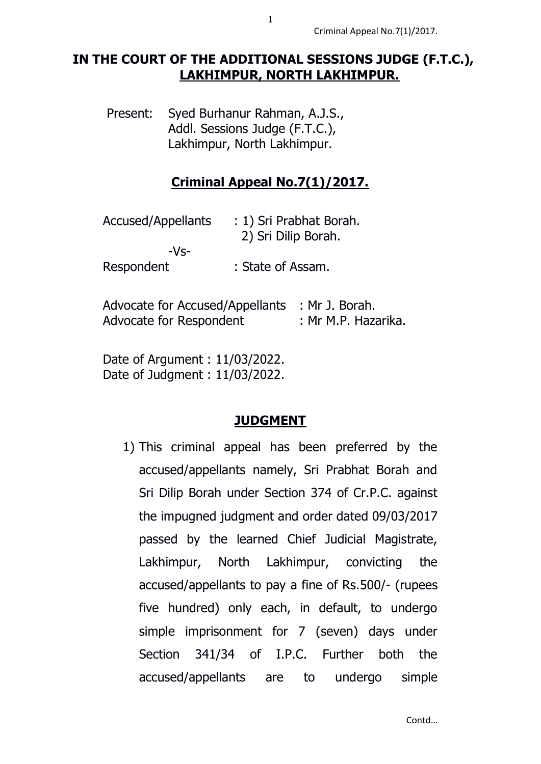## **IN THE COURT OF THE ADDITIONAL SESSIONS JUDGE (F.T.C.), LAKHIMPUR, NORTH LAKHIMPUR.**

Present: Syed Burhanur Rahman, A.J.S., Addl. Sessions Judge (F.T.C.), Lakhimpur, North Lakhimpur.

# **Criminal Appeal No.7(1)/2017.**

| <b>Accused/Appellants</b> | : 1) Sri Prabhat Borah.<br>2) Sri Dilip Borah. |
|---------------------------|------------------------------------------------|
| $-Vs-$                    |                                                |
| Respondent                | : State of Assam.                              |

Advocate for Accused/Appellants : Mr J. Borah. Advocate for Respondent : Mr M.P. Hazarika.

Date of Argument : 11/03/2022. Date of Judgment : 11/03/2022.

### **JUDGMENT**

1) This criminal appeal has been preferred by the accused/appellants namely, Sri Prabhat Borah and Sri Dilip Borah under Section 374 of Cr.P.C. against the impugned judgment and order dated 09/03/2017 passed by the learned Chief Judicial Magistrate, Lakhimpur, North Lakhimpur, convicting the accused/appellants to pay a fine of Rs.500/- (rupees five hundred) only each, in default, to undergo simple imprisonment for 7 (seven) days under Section 341/34 of I.P.C. Further both the accused/appellants are to undergo simple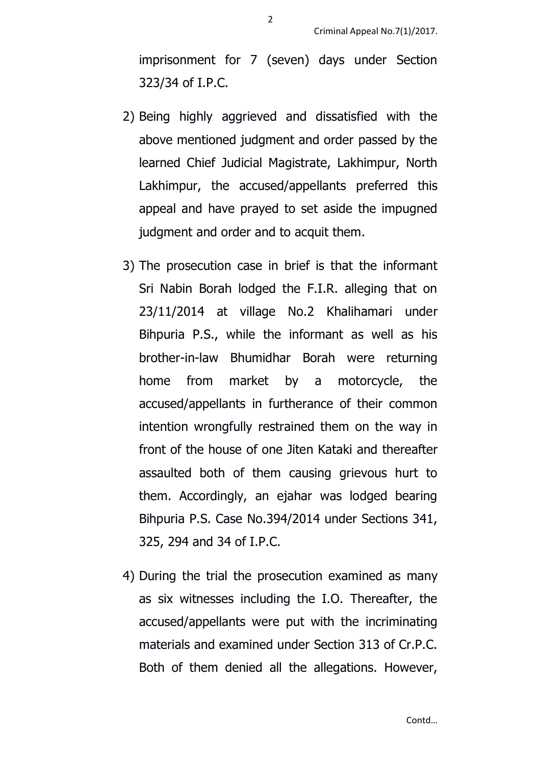imprisonment for 7 (seven) days under Section 323/34 of I.P.C.

- 2) Being highly aggrieved and dissatisfied with the above mentioned judgment and order passed by the learned Chief Judicial Magistrate, Lakhimpur, North Lakhimpur, the accused/appellants preferred this appeal and have prayed to set aside the impugned judgment and order and to acquit them.
- 3) The prosecution case in brief is that the informant Sri Nabin Borah lodged the F.I.R. alleging that on 23/11/2014 at village No.2 Khalihamari under Bihpuria P.S., while the informant as well as his brother-in-law Bhumidhar Borah were returning home from market by a motorcycle, the accused/appellants in furtherance of their common intention wrongfully restrained them on the way in front of the house of one Jiten Kataki and thereafter assaulted both of them causing grievous hurt to them. Accordingly, an ejahar was lodged bearing Bihpuria P.S. Case No.394/2014 under Sections 341, 325, 294 and 34 of I.P.C.
- 4) During the trial the prosecution examined as many as six witnesses including the I.O. Thereafter, the accused/appellants were put with the incriminating materials and examined under Section 313 of Cr.P.C. Both of them denied all the allegations. However,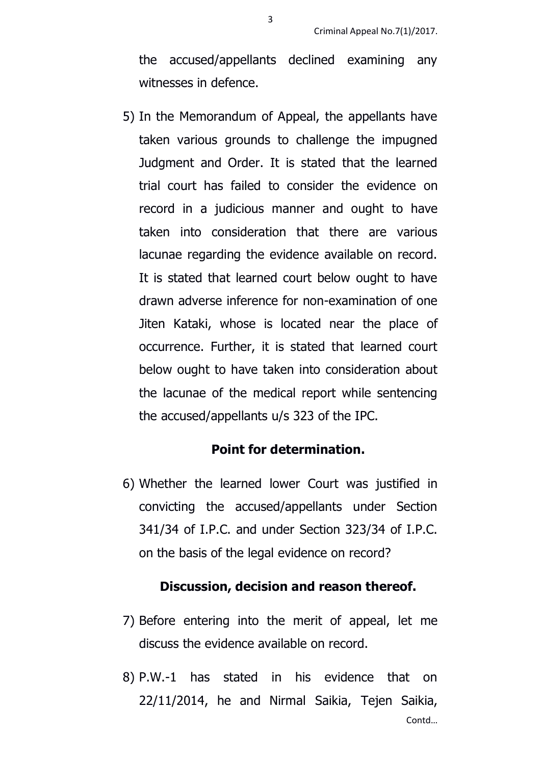the accused/appellants declined examining any witnesses in defence.

5) In the Memorandum of Appeal, the appellants have taken various grounds to challenge the impugned Judgment and Order. It is stated that the learned trial court has failed to consider the evidence on record in a judicious manner and ought to have taken into consideration that there are various lacunae regarding the evidence available on record. It is stated that learned court below ought to have drawn adverse inference for non-examination of one Jiten Kataki, whose is located near the place of occurrence. Further, it is stated that learned court below ought to have taken into consideration about the lacunae of the medical report while sentencing the accused/appellants u/s 323 of the IPC.

#### **Point for determination.**

6) Whether the learned lower Court was justified in convicting the accused/appellants under Section 341/34 of I.P.C. and under Section 323/34 of I.P.C. on the basis of the legal evidence on record?

#### **Discussion, decision and reason thereof.**

- 7) Before entering into the merit of appeal, let me discuss the evidence available on record.
- Contd… 8) P.W.-1 has stated in his evidence that on 22/11/2014, he and Nirmal Saikia, Tejen Saikia,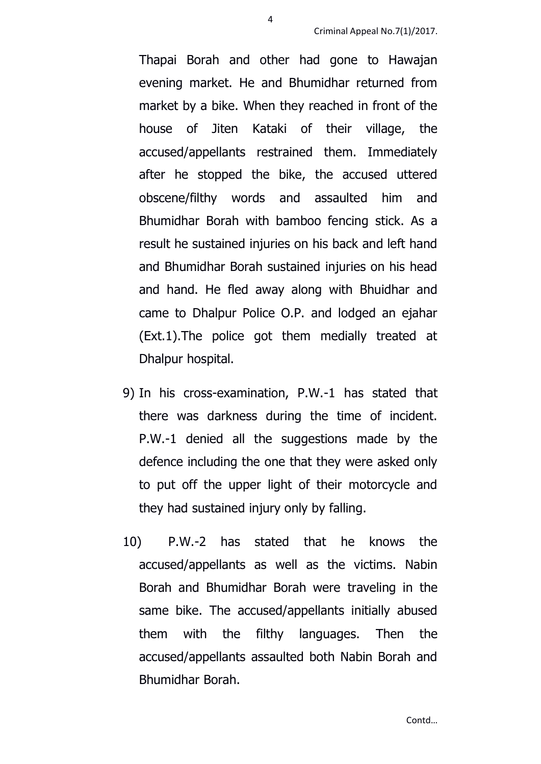Thapai Borah and other had gone to Hawajan evening market. He and Bhumidhar returned from market by a bike. When they reached in front of the house of Jiten Kataki of their village, the accused/appellants restrained them. Immediately after he stopped the bike, the accused uttered obscene/filthy words and assaulted him and Bhumidhar Borah with bamboo fencing stick. As a result he sustained injuries on his back and left hand and Bhumidhar Borah sustained injuries on his head and hand. He fled away along with Bhuidhar and came to Dhalpur Police O.P. and lodged an ejahar (Ext.1).The police got them medially treated at Dhalpur hospital.

- 9) In his cross-examination, P.W.-1 has stated that there was darkness during the time of incident. P.W.-1 denied all the suggestions made by the defence including the one that they were asked only to put off the upper light of their motorcycle and they had sustained injury only by falling.
- 10) P.W.-2 has stated that he knows the accused/appellants as well as the victims. Nabin Borah and Bhumidhar Borah were traveling in the same bike. The accused/appellants initially abused them with the filthy languages. Then the accused/appellants assaulted both Nabin Borah and Bhumidhar Borah.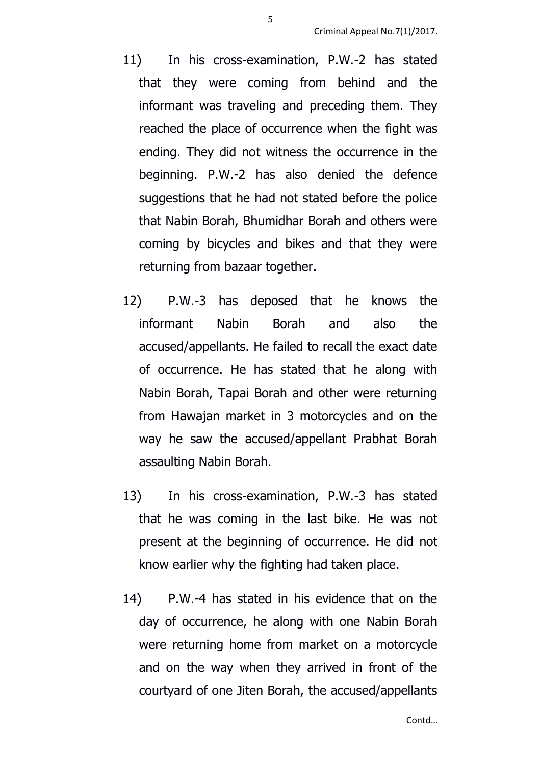- 11) In his cross-examination, P.W.-2 has stated that they were coming from behind and the informant was traveling and preceding them. They reached the place of occurrence when the fight was ending. They did not witness the occurrence in the beginning. P.W.-2 has also denied the defence suggestions that he had not stated before the police that Nabin Borah, Bhumidhar Borah and others were coming by bicycles and bikes and that they were returning from bazaar together.
- 12) P.W.-3 has deposed that he knows the informant Nabin Borah and also the accused/appellants. He failed to recall the exact date of occurrence. He has stated that he along with Nabin Borah, Tapai Borah and other were returning from Hawajan market in 3 motorcycles and on the way he saw the accused/appellant Prabhat Borah assaulting Nabin Borah.
- 13) In his cross-examination, P.W.-3 has stated that he was coming in the last bike. He was not present at the beginning of occurrence. He did not know earlier why the fighting had taken place.
- 14) P.W.-4 has stated in his evidence that on the day of occurrence, he along with one Nabin Borah were returning home from market on a motorcycle and on the way when they arrived in front of the courtyard of one Jiten Borah, the accused/appellants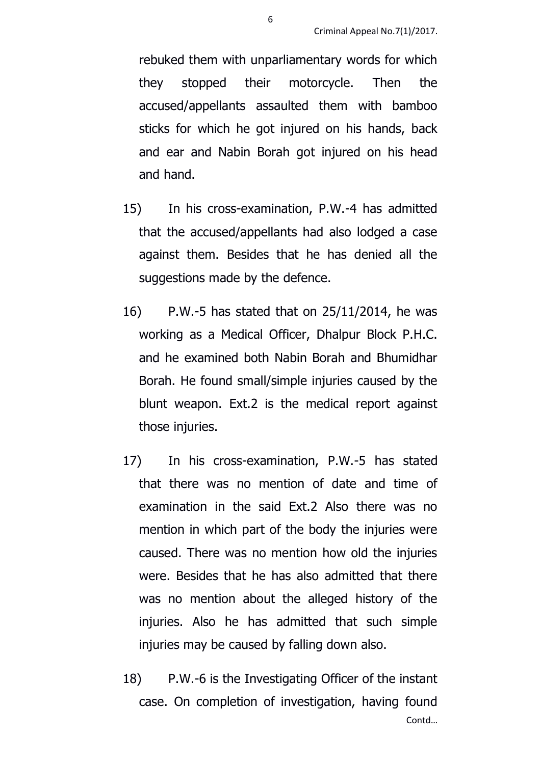rebuked them with unparliamentary words for which they stopped their motorcycle. Then the accused/appellants assaulted them with bamboo sticks for which he got injured on his hands, back and ear and Nabin Borah got injured on his head and hand.

- 15) In his cross-examination, P.W.-4 has admitted that the accused/appellants had also lodged a case against them. Besides that he has denied all the suggestions made by the defence.
- 16) P.W.-5 has stated that on 25/11/2014, he was working as a Medical Officer, Dhalpur Block P.H.C. and he examined both Nabin Borah and Bhumidhar Borah. He found small/simple injuries caused by the blunt weapon. Ext.2 is the medical report against those injuries.
- 17) In his cross-examination, P.W.-5 has stated that there was no mention of date and time of examination in the said Ext.2 Also there was no mention in which part of the body the injuries were caused. There was no mention how old the injuries were. Besides that he has also admitted that there was no mention about the alleged history of the injuries. Also he has admitted that such simple injuries may be caused by falling down also.
- Contd… 18) P.W.-6 is the Investigating Officer of the instant case. On completion of investigation, having found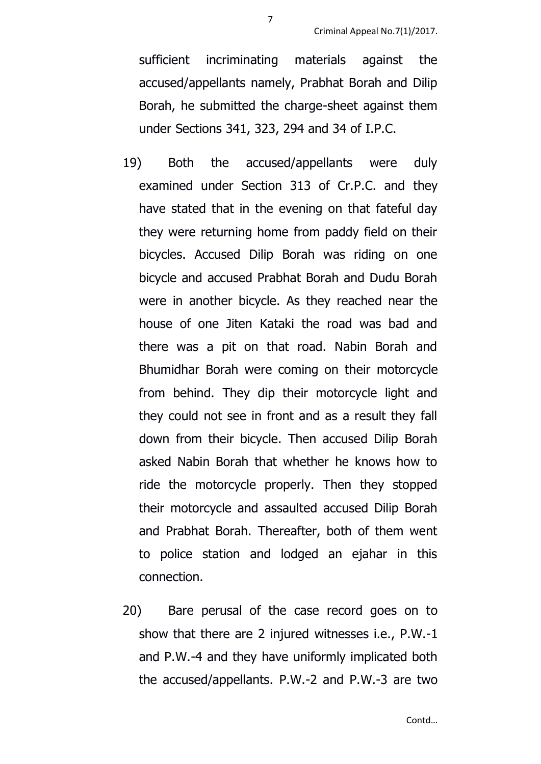sufficient incriminating materials against the accused/appellants namely, Prabhat Borah and Dilip Borah, he submitted the charge-sheet against them under Sections 341, 323, 294 and 34 of I.P.C.

- 19) Both the accused/appellants were duly examined under Section 313 of Cr.P.C. and they have stated that in the evening on that fateful day they were returning home from paddy field on their bicycles. Accused Dilip Borah was riding on one bicycle and accused Prabhat Borah and Dudu Borah were in another bicycle. As they reached near the house of one Jiten Kataki the road was bad and there was a pit on that road. Nabin Borah and Bhumidhar Borah were coming on their motorcycle from behind. They dip their motorcycle light and they could not see in front and as a result they fall down from their bicycle. Then accused Dilip Borah asked Nabin Borah that whether he knows how to ride the motorcycle properly. Then they stopped their motorcycle and assaulted accused Dilip Borah and Prabhat Borah. Thereafter, both of them went to police station and lodged an ejahar in this connection.
- 20) Bare perusal of the case record goes on to show that there are 2 injured witnesses i.e., P.W.-1 and P.W.-4 and they have uniformly implicated both the accused/appellants. P.W.-2 and P.W.-3 are two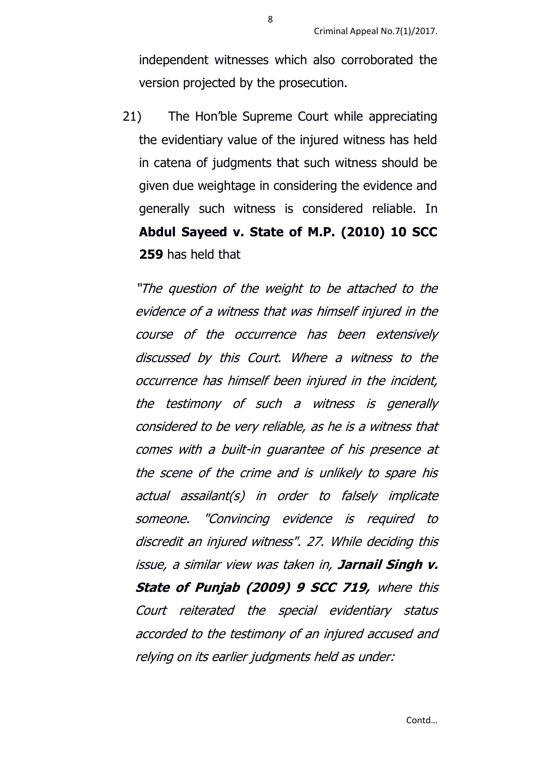independent witnesses which also corroborated the version projected by the prosecution.

21) The Hon'ble Supreme Court while appreciating the evidentiary value of the injured witness has held in catena of judgments that such witness should be given due weightage in considering the evidence and generally such witness is considered reliable. In **Abdul Sayeed v. State of M.P. (2010) 10 SCC 259** has held that

"The question of the weight to be attached to the evidence of a witness that was himself injured in the course of the occurrence has been extensively discussed by this Court. Where a witness to the occurrence has himself been injured in the incident, the testimony of such a witness is generally considered to be very reliable, as he is a witness that comes with a built-in guarantee of his presence at the scene of the crime and is unlikely to spare his actual assailant(s) in order to falsely implicate someone. "Convincing evidence is required to discredit an injured witness". 27. While deciding this issue, a similar view was taken in, **Jarnail Singh v. State of Punjab (2009) 9 SCC 719,** where this Court reiterated the special evidentiary status accorded to the testimony of an injured accused and relying on its earlier judgments held as under: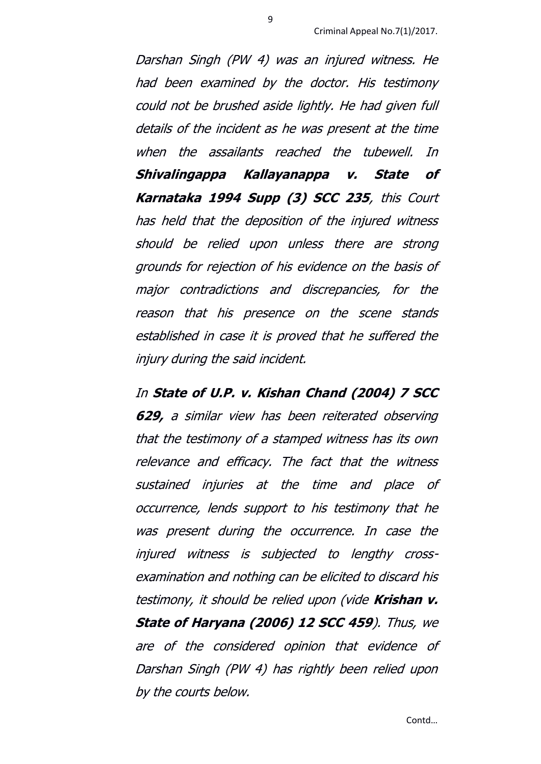Darshan Singh (PW 4) was an injured witness. He had been examined by the doctor. His testimony could not be brushed aside lightly. He had given full details of the incident as he was present at the time when the assailants reached the tubewell. In **Shivalingappa Kallayanappa v. State of Karnataka 1994 Supp (3) SCC 235**, this Court has held that the deposition of the injured witness should be relied upon unless there are strong grounds for rejection of his evidence on the basis of major contradictions and discrepancies, for the reason that his presence on the scene stands established in case it is proved that he suffered the injury during the said incident.

9

In **State of U.P. v. Kishan Chand (2004) 7 SCC 629,** a similar view has been reiterated observing that the testimony of a stamped witness has its own relevance and efficacy. The fact that the witness sustained injuries at the time and place of occurrence, lends support to his testimony that he was present during the occurrence. In case the injured witness is subjected to lengthy crossexamination and nothing can be elicited to discard his testimony, it should be relied upon (vide **Krishan v. State of Haryana (2006) 12 SCC 459**). Thus, we are of the considered opinion that evidence of Darshan Singh (PW 4) has rightly been relied upon by the courts below.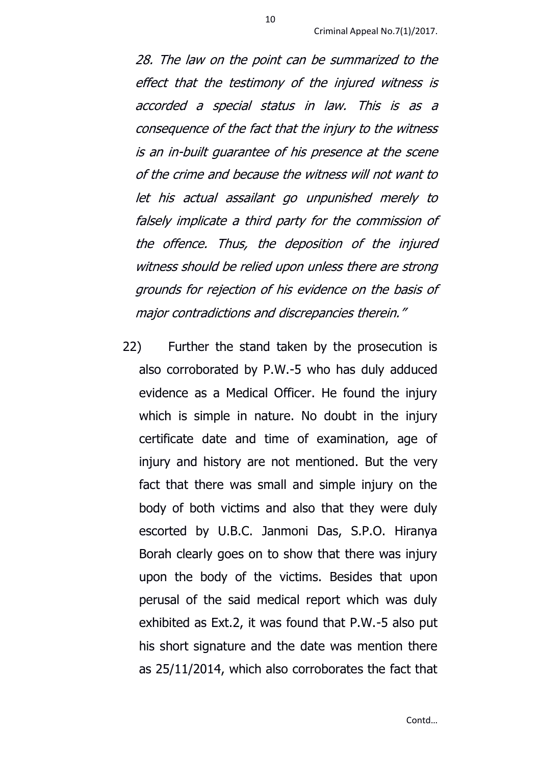28. The law on the point can be summarized to the effect that the testimony of the injured witness is accorded a special status in law. This is as a consequence of the fact that the injury to the witness is an in-built guarantee of his presence at the scene of the crime and because the witness will not want to let his actual assailant go unpunished merely to falsely implicate a third party for the commission of the offence. Thus, the deposition of the injured witness should be relied upon unless there are strong grounds for rejection of his evidence on the basis of major contradictions and discrepancies therein."

22) Further the stand taken by the prosecution is also corroborated by P.W.-5 who has duly adduced evidence as a Medical Officer. He found the injury which is simple in nature. No doubt in the injury certificate date and time of examination, age of injury and history are not mentioned. But the very fact that there was small and simple injury on the body of both victims and also that they were duly escorted by U.B.C. Janmoni Das, S.P.O. Hiranya Borah clearly goes on to show that there was injury upon the body of the victims. Besides that upon perusal of the said medical report which was duly exhibited as Ext.2, it was found that P.W.-5 also put his short signature and the date was mention there as 25/11/2014, which also corroborates the fact that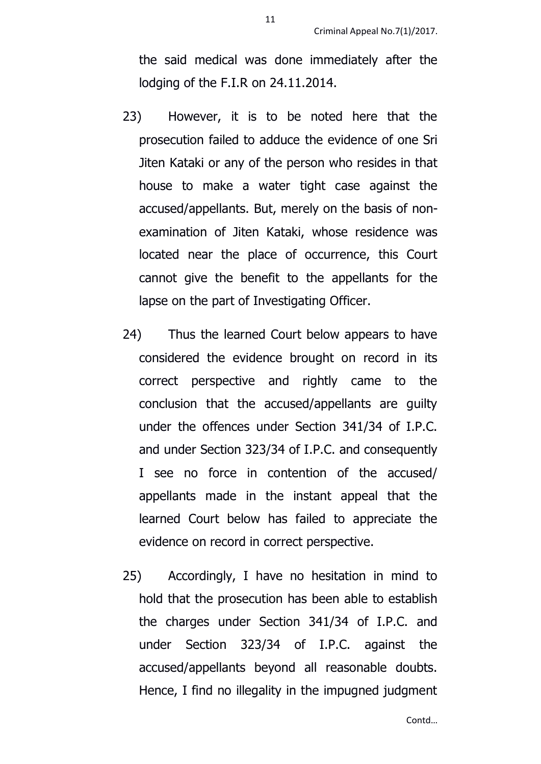the said medical was done immediately after the lodging of the F.I.R on 24.11.2014.

- 23) However, it is to be noted here that the prosecution failed to adduce the evidence of one Sri Jiten Kataki or any of the person who resides in that house to make a water tight case against the accused/appellants. But, merely on the basis of nonexamination of Jiten Kataki, whose residence was located near the place of occurrence, this Court cannot give the benefit to the appellants for the lapse on the part of Investigating Officer.
- 24) Thus the learned Court below appears to have considered the evidence brought on record in its correct perspective and rightly came to the conclusion that the accused/appellants are guilty under the offences under Section 341/34 of I.P.C. and under Section 323/34 of I.P.C. and consequently I see no force in contention of the accused/ appellants made in the instant appeal that the learned Court below has failed to appreciate the evidence on record in correct perspective.
- 25) Accordingly, I have no hesitation in mind to hold that the prosecution has been able to establish the charges under Section 341/34 of I.P.C. and under Section 323/34 of I.P.C. against the accused/appellants beyond all reasonable doubts. Hence, I find no illegality in the impugned judgment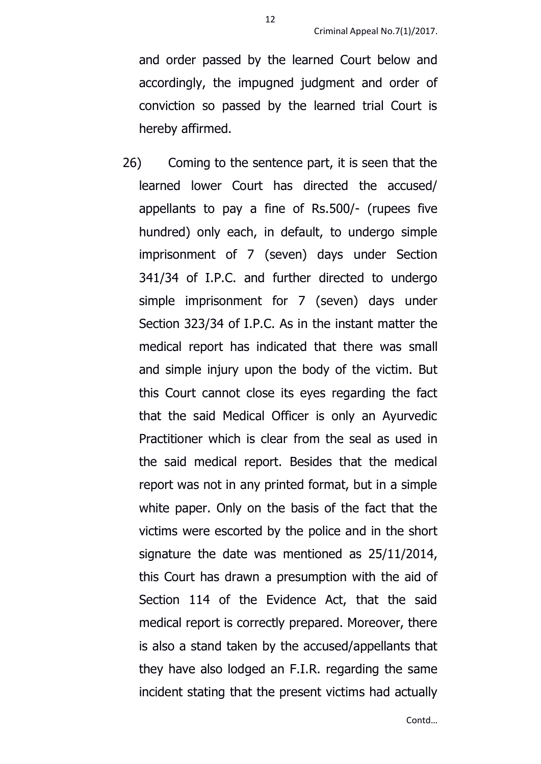and order passed by the learned Court below and accordingly, the impugned judgment and order of conviction so passed by the learned trial Court is hereby affirmed.

26) Coming to the sentence part, it is seen that the learned lower Court has directed the accused/ appellants to pay a fine of Rs.500/- (rupees five hundred) only each, in default, to undergo simple imprisonment of 7 (seven) days under Section 341/34 of I.P.C. and further directed to undergo simple imprisonment for 7 (seven) days under Section 323/34 of I.P.C. As in the instant matter the medical report has indicated that there was small and simple injury upon the body of the victim. But this Court cannot close its eyes regarding the fact that the said Medical Officer is only an Ayurvedic Practitioner which is clear from the seal as used in the said medical report. Besides that the medical report was not in any printed format, but in a simple white paper. Only on the basis of the fact that the victims were escorted by the police and in the short signature the date was mentioned as 25/11/2014, this Court has drawn a presumption with the aid of Section 114 of the Evidence Act, that the said medical report is correctly prepared. Moreover, there is also a stand taken by the accused/appellants that they have also lodged an F.I.R. regarding the same incident stating that the present victims had actually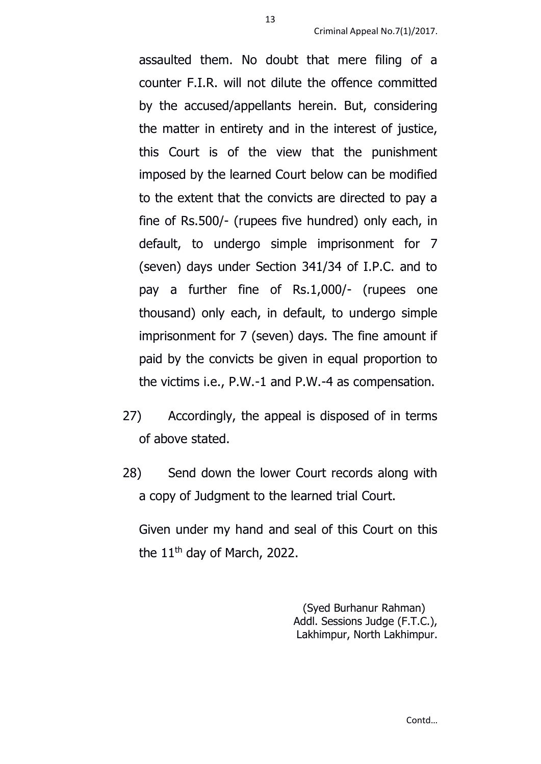assaulted them. No doubt that mere filing of a counter F.I.R. will not dilute the offence committed by the accused/appellants herein. But, considering the matter in entirety and in the interest of justice, this Court is of the view that the punishment imposed by the learned Court below can be modified to the extent that the convicts are directed to pay a fine of Rs.500/- (rupees five hundred) only each, in default, to undergo simple imprisonment for 7 (seven) days under Section 341/34 of I.P.C. and to pay a further fine of Rs.1,000/- (rupees one thousand) only each, in default, to undergo simple imprisonment for 7 (seven) days. The fine amount if paid by the convicts be given in equal proportion to the victims i.e., P.W.-1 and P.W.-4 as compensation.

- 27) Accordingly, the appeal is disposed of in terms of above stated.
- 28) Send down the lower Court records along with a copy of Judgment to the learned trial Court.

Given under my hand and seal of this Court on this the 11<sup>th</sup> day of March, 2022.

> (Syed Burhanur Rahman) Addl. Sessions Judge (F.T.C.), Lakhimpur, North Lakhimpur.